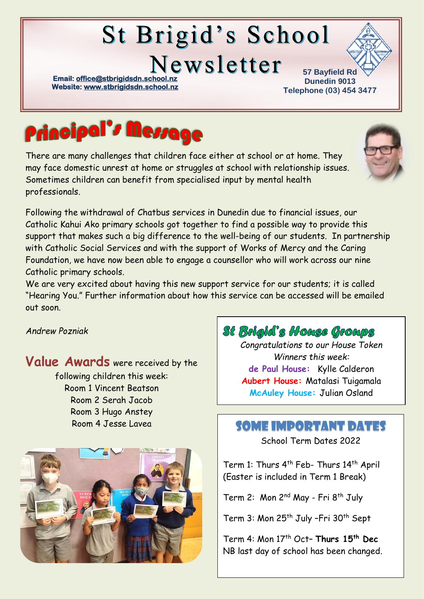# **St Brigid's School**

Newsletter

**Email: office@stbrigidsdn.school Website[: www.stbrigidsdn.school.nz](http://www.stbrigidsdn.school.nz/)** 

**57 Bayfield Rd Dunedin 9013 Telephone (03) 454 3477** 



There are many challenges that children face either at school or at home. They may face domestic unrest at home or struggles at school with relationship issues. Sometimes children can benefit from specialised input by mental health professionals.



Following the withdrawal of Chatbus services in Dunedin due to financial issues, our Catholic Kahui Ako primary schools got together to find a possible way to provide this support that makes such a big difference to the well-being of our students. In partnership with Catholic Social Services and with the support of Works of Mercy and the Caring Foundation, we have now been able to engage a counsellor who will work across our nine Catholic primary schools.

We are very excited about having this new support service for our students; it is called "Hearing You." Further information about how this service can be accessed will be emailed out soon.

#### *Andrew Pozniak*

Value Awards were received by the following children this week: Room 1 Vincent Beatson Room 2 Serah Jacob Room 3 Hugo Anstey



## St Brigid's House Groups

*Congratulations to our House Token Winners this week:* **de Paul House:** Kylle Calderon **Aubert House:** Matalasi Tuigamala **McAuley House:** Julian Osland

#### Room 4 Jesse Lavea SOME IMPORTANT DATES

School Term Dates 2022

Term 1: Thurs 4<sup>th</sup> Feb- Thurs 14<sup>th</sup> April (Easter is included in Term 1 Break)

Term 2: Mon 2<sup>nd</sup> May - Fri 8<sup>th</sup> July

Term 3: Mon 25<sup>th</sup> July -Fri 30<sup>th</sup> Sept

Term 4: Mon 17th Oct– **Thurs 15th Dec** NB last day of school has been changed.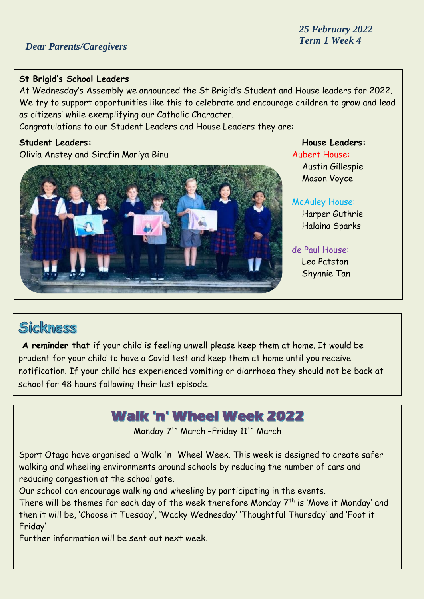#### **St Brigid's School Leaders**

At Wednesday's Assembly we announced the St Brigid's Student and House leaders for 2022. We try to support opportunities like this to celebrate and encourage children to grow and lead as citizens' while exemplifying our Catholic Character.

Congratulations to our Student Leaders and House Leaders they are:

#### **Student Leaders: House Leaders:**

Olivia Anstey and Sirafin Mariya Binu Aubert House: Aubert House:



Austin Gillespie Mason Voyce

#### McAuley House:

Harper Guthrie Halaina Sparks

#### de Paul House:

Leo Patston Shynnie Tan

## Sickness

**A reminder that** if your child is feeling unwell please keep them at home. It would be prudent for your child to have a Covid test and keep them at home until you receive notification. If your child has experienced vomiting or diarrhoea they should not be back at school for 48 hours following their last episode.

## **Walk 'n' Wheel Week 2022**

Monday 7<sup>th</sup> March -Friday 11<sup>th</sup> March

Sport Otago have organised a Walk 'n' Wheel Week. This week is designed to create safer walking and wheeling environments around schools by reducing the number of cars and reducing congestion at the school gate.

Our school can encourage walking and wheeling by participating in the events.

There will be themes for each day of the week therefore Monday  $7<sup>th</sup>$  is 'Move it Monday' and then it will be, 'Choose it Tuesday', 'Wacky Wednesday' 'Thoughtful Thursday' and 'Foot it Friday'

Further information will be sent out next week.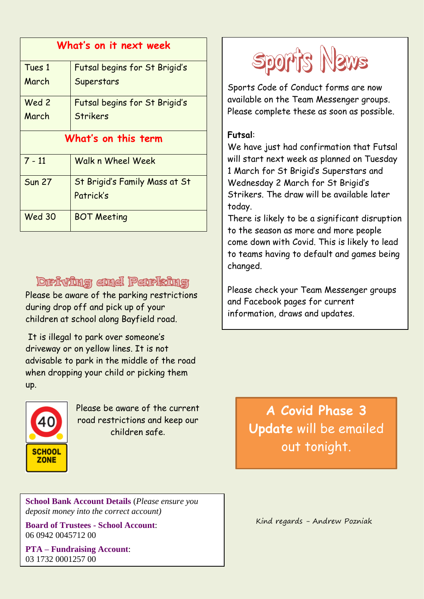| What's on it next week |                               |
|------------------------|-------------------------------|
| Tues 1                 | Futsal begins for St Brigid's |
| March                  | Superstars                    |
| Wed 2                  | Futsal begins for St Brigid's |
| March                  | <b>Strikers</b>               |
| What's on this term    |                               |
| $7 - 11$               | Walk n Wheel Week             |
| <b>Sun 27</b>          | St Brigid's Family Mass at St |
|                        | Patrick's                     |
| <b>Wed 30</b>          | <b>BOT Meeting</b>            |

#### **Driving and Perlsing**

Please be aware of the parking restrictions during drop off and pick up of your children at school along Bayfield road.

It is illegal to park over someone's driveway or on yellow lines. It is not advisable to park in the middle of the road when dropping your child or picking them up.



Please be aware of the current road restrictions and keep our children safe.

**School Bank Account Details** (*Please ensure you deposit money into the correct account)*

**Board of Trustees - School Account**: 06 0942 0045712 00

**PTA – Fundraising Account**: 03 1732 0001257 00



Sports Code of Conduct forms are now available on the Team Messenger groups. Please complete these as soon as possible.

#### **Futsal**:

We have just had confirmation that Futsal will start next week as planned on Tuesday 1 March for St Brigid's Superstars and Wednesday 2 March for St Brigid's Strikers. The draw will be available later today.

There is likely to be a significant disruption to the season as more and more people come down with Covid. This is likely to lead to teams having to default and games being changed.

Please check your Team Messenger groups and Facebook pages for current information, draws and updates.

> **A Covid Phase 3 Update** will be emailed out tonight.

Kind regards - Andrew Pozniak